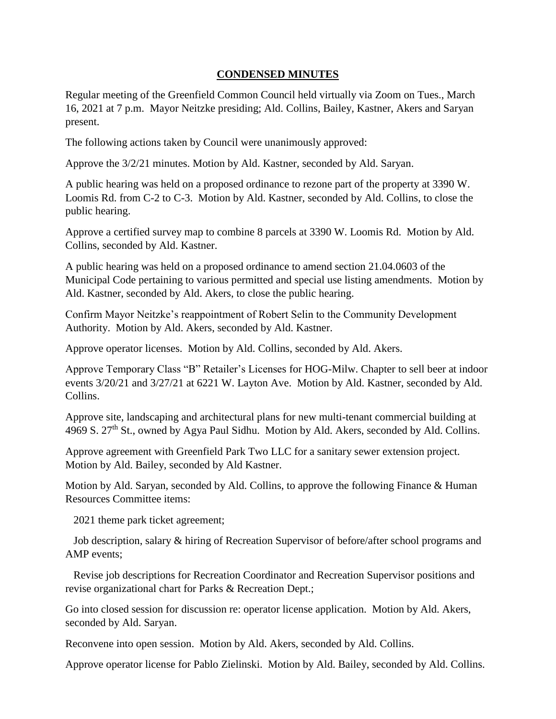## **CONDENSED MINUTES**

Regular meeting of the Greenfield Common Council held virtually via Zoom on Tues., March 16, 2021 at 7 p.m. Mayor Neitzke presiding; Ald. Collins, Bailey, Kastner, Akers and Saryan present.

The following actions taken by Council were unanimously approved:

Approve the 3/2/21 minutes. Motion by Ald. Kastner, seconded by Ald. Saryan.

A public hearing was held on a proposed ordinance to rezone part of the property at 3390 W. Loomis Rd. from C-2 to C-3. Motion by Ald. Kastner, seconded by Ald. Collins, to close the public hearing.

Approve a certified survey map to combine 8 parcels at 3390 W. Loomis Rd. Motion by Ald. Collins, seconded by Ald. Kastner.

A public hearing was held on a proposed ordinance to amend section 21.04.0603 of the Municipal Code pertaining to various permitted and special use listing amendments. Motion by Ald. Kastner, seconded by Ald. Akers, to close the public hearing.

Confirm Mayor Neitzke's reappointment of Robert Selin to the Community Development Authority. Motion by Ald. Akers, seconded by Ald. Kastner.

Approve operator licenses. Motion by Ald. Collins, seconded by Ald. Akers.

Approve Temporary Class "B" Retailer's Licenses for HOG-Milw. Chapter to sell beer at indoor events 3/20/21 and 3/27/21 at 6221 W. Layton Ave. Motion by Ald. Kastner, seconded by Ald. Collins.

Approve site, landscaping and architectural plans for new multi-tenant commercial building at 4969 S. 27<sup>th</sup> St., owned by Agya Paul Sidhu. Motion by Ald. Akers, seconded by Ald. Collins.

Approve agreement with Greenfield Park Two LLC for a sanitary sewer extension project. Motion by Ald. Bailey, seconded by Ald Kastner.

Motion by Ald. Saryan, seconded by Ald. Collins, to approve the following Finance & Human Resources Committee items:

2021 theme park ticket agreement;

 Job description, salary & hiring of Recreation Supervisor of before/after school programs and AMP events;

 Revise job descriptions for Recreation Coordinator and Recreation Supervisor positions and revise organizational chart for Parks & Recreation Dept.;

Go into closed session for discussion re: operator license application. Motion by Ald. Akers, seconded by Ald. Saryan.

Reconvene into open session. Motion by Ald. Akers, seconded by Ald. Collins.

Approve operator license for Pablo Zielinski. Motion by Ald. Bailey, seconded by Ald. Collins.